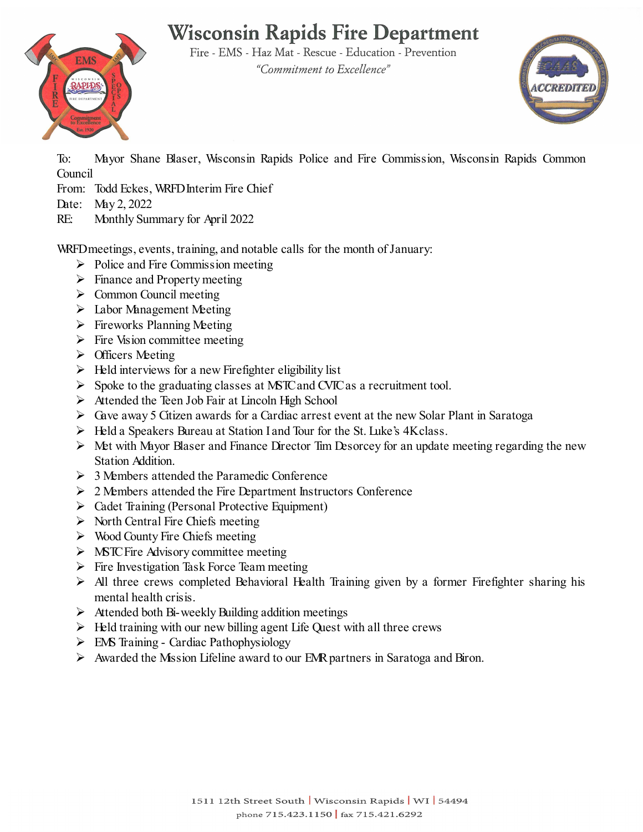# **Wisconsin Rapids Fire Department**



Fire - EMS - Haz Mat - Rescue - Education - Prevention "Commitment to Excellence"



To: Mayor Shane Blaser, Wisconsin Rapids Police and Fire Commission, Wisconsin Rapids Common Council

- From: Todd Eckes, WRFDInterim Fire Chief
- Date: May 2, 2022
- RE: Monthly Summary for April 2022

WRFD meetings, events, training, and notable calls for the month of January:

- $\triangleright$  Police and Fire Commission meeting
- $\triangleright$  Finance and Property meeting
- $\triangleright$  Common Council meeting
- $\triangleright$  Labor Management Meeting
- $\triangleright$  Fireworks Planning Meeting
- $\triangleright$  Fire Vision committee meeting
- $\triangleright$  Officers Meeting
- $\triangleright$  Held interviews for a new Firefighter eligibility list
- $\triangleright$  Spoke to the graduating classes at MSTC and CVIC as a recruitment tool.
- $\triangleright$  Attended the Teen Job Fair at Lincoln High School
- Gave away 5 Citizen awards for a Cardiac arrest event at the new Solar Plant in Saratoga
- > Held a Speakers Bureau at Station I and Tour for the St. Luke's 4K class.
- $\triangleright$  Met with Mayor Blaser and Finance Director Tim Desorcey for an update meeting regarding the new Station Addition.
- $\geq 3$  Members attended the Paramedic Conference
- 2 Members attended the Fire Department Instructors Conference
- Cadet Training (Personal Protective Equipment)
- $\triangleright$  North Central Fire Chiefs meeting
- $\triangleright$  Wood County Fire Chiefs meeting
- $\triangleright$  MSTC Fire Advisory committee meeting
- $\triangleright$  Fire Investigation Task Force Team meeting
- $\triangleright$  All three crews completed Behavioral Health Training given by a former Firefighter sharing his mental health crisis.
- $\triangleright$  Attended both Bi-weekly Building addition meetings
- $\triangleright$  Held training with our new billing agent Life Quest with all three crews
- $\triangleright$  EMS Training Cardiac Pathophysiology
- $\triangleright$  Awarded the Mission Lifeline award to our EMR partners in Saratoga and Biron.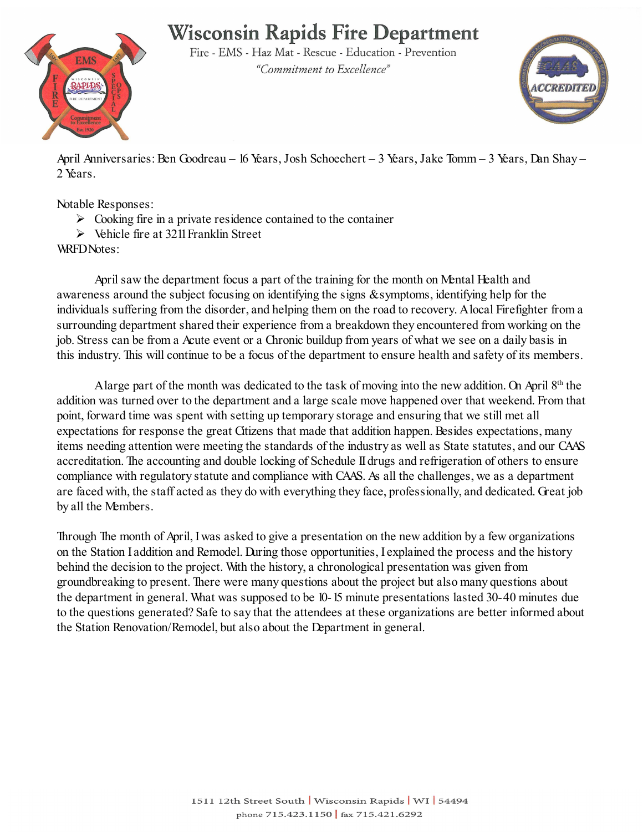## **Wisconsin Rapids Fire Department**



Fire - EMS - Haz Mat - Rescue - Education - Prevention "Commitment to Excellence"



April Anniversaries: Ben Goodreau – 16 Years, Josh Schoechert – 3 Years, Jake Tomm – 3 Years, Dan Shay – 2 Years.

Notable Responses:

- $\triangleright$  Cooking fire in a private residence contained to the container
- $\triangleright$  Vehicle fire at 3211 Franklin Street

WRFDNotes:

April saw the department focus a part of the training for the month on Mental Health and awareness around the subject focusing on identifying the signs & symptoms, identifying help for the individuals suffering from the disorder, and helping them on the road to recovery. A local Firefighter from a surrounding department shared their experience from a breakdown they encountered from working on the job. Stress can be from a Acute event or a Chronic buildup from years of what we see on a daily basis in this industry. This will continue to be a focus of the department to ensure health and safety of its members.

A large part of the month was dedicated to the task of moving into the new addition. On April  $8<sup>th</sup>$  the addition was turned over to the department and a large scale move happened over that weekend. From that point, forward time was spent with setting up temporary storage and ensuring that we still met all expectations for response the great Citizens that made that addition happen. Besides expectations, many items needing attention were meeting the standards of the industry as well as State statutes, and our CAAS accreditation. The accounting and double locking of Schedule II drugs and refrigeration of others to ensure compliance with regulatory statute and compliance with CAAS. As all the challenges, we as a department are faced with, the staff acted as they do with everything they face, professionally, and dedicated. Great job by all the Members.

Through The month of April, I was asked to give a presentation on the new addition by a few organizations on the Station I addition and Remodel. During those opportunities, I explained the process and the history behind the decision to the project. With the history, a chronological presentation was given from groundbreaking to present. There were many questions about the project but also many questions about the department in general. What was supposed to be 10-15 minute presentations lasted 30-40 minutes due to the questions generated? Safe to say that the attendees at these organizations are better informed about the Station Renovation/Remodel, but also about the Department in general.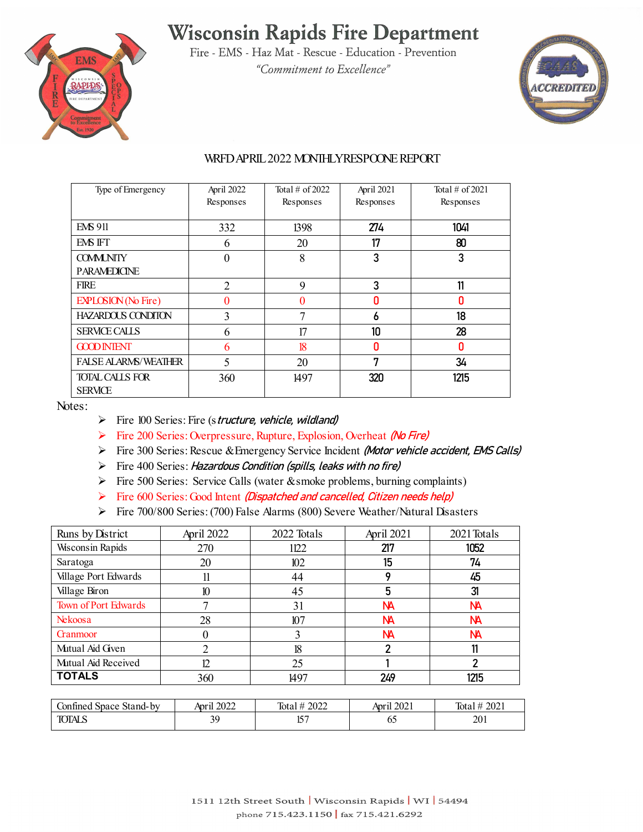## **Wisconsin Rapids Fire Department**



Fire - EMS - Haz Mat - Rescue - Education - Prevention "Commitment to Excellence"



#### WRFD APRIL2022 MONTHLY RESPOONE REPORT

| Type of Emergency           | April 2022     | Total $\#$ of 2022 | April 2021 | Total $\#$ of 2021 |
|-----------------------------|----------------|--------------------|------------|--------------------|
|                             | Responses      | Responses          | Responses  | Responses          |
|                             |                |                    |            |                    |
| <b>EMS 911</b>              | 332            | 1398               | 274        | 1041               |
| EMS IFT                     | 6              | 20                 | 17         | 80                 |
| <b>COMMUNITY</b>            | $\theta$       | 8                  | 3          | 3                  |
| <b>PARAMEDICINE</b>         |                |                    |            |                    |
| <b>FIRE</b>                 | $\overline{2}$ | 9                  | 3          | 11                 |
| <b>EXPLOSION</b> (No Fire)  | $\Omega$       | 0                  | n          | n                  |
| <b>HAZARDOUS CONDITON</b>   | 3              | 7                  | 6          | 18                 |
| <b>SERVICE CALLS</b>        | 6              | 17                 | 10         | 28                 |
| <b>GOOD INTENT</b>          | 6              | 18                 | n          | N                  |
| <b>FALSE ALARMS/WEATHER</b> | 5              | 20                 | 7          | 34                 |
| <b>TOTAL CALLS FOR</b>      | 360            | 1497               | 320        | 1215               |
| <b>SERVICE</b>              |                |                    |            |                    |

Notes:

- $\triangleright$  Fire 100 Series: Fire (structure, vehicle, wildland)
- Fire 200 Series: Overpressure, Rupture, Explosion, Overheat (No Fire)
- Fire 300 Series: Rescue & Emergency Service Incident (Motor vehicle accident, EMS Calls)
- $\triangleright$  Fire 400 Series: Hazardous Condition (spills, leaks with no fire)
- Fire 500 Series: Service Calls (water & smoke problems, burning complaints)
- Fire 600 Series: Good Intent (Dispatched and cancelled, Citizen needs help)
- Fire 700/800 Series: (700) False Alarms (800) Severe Weather/Natural Disasters

| Runs by District        | April 2022 | 2022 Totals | April 2021 | 2021 Totals |
|-------------------------|------------|-------------|------------|-------------|
| <b>Wisconsin Rapids</b> | 270        | 1122        | 217        | 1052        |
| Saratoga                | 20         | 102         | 15         | 74          |
| Village Port Edwards    |            | 44          |            | 45          |
| Village Biron           | 10         | 45          | 5          | 31          |
| Town of Port Edwards    |            | 31          | <b>NA</b>  | NА          |
| Nekoosa                 | 28         | 107         | <b>NA</b>  | NА          |
| <b>Grammoor</b>         |            |             | <b>NA</b>  | NА          |
| Mutual Aid Given        |            | 18          |            |             |
| Mutual Aid Received     | 17         | 25          |            | າ           |
| <b>TOTALS</b>           | 360        | 1497        | 249        | 1215        |

| Stand-by<br>onfined.<br>space | il 2022<br>Anrı | 2022<br>Tota | il 2021<br>Anr' | 2021<br>Tota       |
|-------------------------------|-----------------|--------------|-----------------|--------------------|
| <b>TOTALS</b>                 | n۵              | $1 - \Box$   | ບຸ              | ኅሰ1<br>$\angle 01$ |